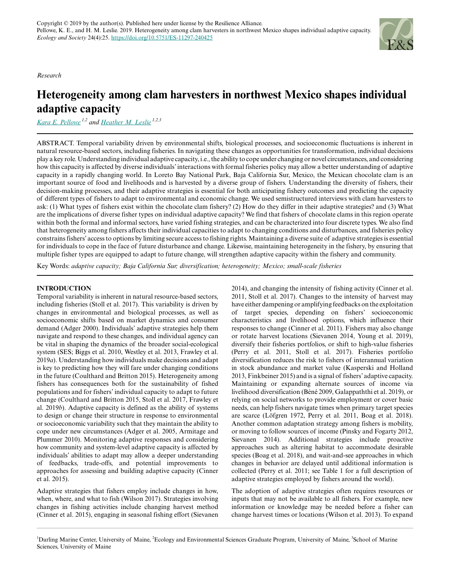*Research*



# **Heterogeneity among clam harvesters in northwest Mexico shapes individual adaptive capacity**

*[Kara E. Pellowe](mailto:kara.pellowe@maine.edu) 1,2 and [Heather M. Leslie](mailto:heather.leslie@maine.edu) 1,2,3*

ABSTRACT. Temporal variability driven by environmental shifts, biological processes, and socioeconomic fluctuations is inherent in natural resource-based sectors, including fisheries. In navigating these changes as opportunities for transformation, individual decisions play a key role. Understanding individual adaptive capacity, i.e., the ability to cope under changing or novel circumstances, and considering how this capacity is affected by diverse individuals' interactions with formal fisheries policy may allow a better understanding of adaptive capacity in a rapidly changing world. In Loreto Bay National Park, Baja California Sur, Mexico, the Mexican chocolate clam is an important source of food and livelihoods and is harvested by a diverse group of fishers. Understanding the diversity of fishers, their decision-making processes, and their adaptive strategies is essential for both anticipating fishery outcomes and predicting the capacity of different types of fishers to adapt to environmental and economic change. We used semistructured interviews with clam harvesters to ask: (1) What types of fishers exist within the chocolate clam fishery? (2) How do they differ in their adaptive strategies? and (3) What are the implications of diverse fisher types on individual adaptive capacity? We find that fishers of chocolate clams in this region operate within both the formal and informal sectors, have varied fishing strategies, and can be characterized into four discrete types. We also find that heterogeneity among fishers affects their individual capacities to adapt to changing conditions and disturbances, and fisheries policy constrains fishers' access to options by limiting secure access to fishing rights. Maintaining a diverse suite of adaptive strategies is essential for individuals to cope in the face of future disturbance and change. Likewise, maintaining heterogeneity in the fishery, by ensuring that multiple fisher types are equipped to adapt to future change, will strengthen adaptive capacity within the fishery and community.

Key Words: *adaptive capacity; Baja California Sur; diversification; heterogeneity; Mexico; small-scale fisheries*

# **INTRODUCTION**

Temporal variability is inherent in natural resource-based sectors, including fisheries (Stoll et al. 2017). This variability is driven by changes in environmental and biological processes, as well as socioeconomic shifts based on market dynamics and consumer demand (Adger 2000). Individuals' adaptive strategies help them navigate and respond to these changes, and individual agency can be vital in shaping the dynamics of the broader social-ecological system (SES; Biggs et al. 2010, Westley et al. 2013, Frawley et al. 2019*a*). Understanding how individuals make decisions and adapt is key to predicting how they will fare under changing conditions in the future (Coulthard and Britton 2015). Heterogeneity among fishers has consequences both for the sustainability of fished populations and for fishers' individual capacity to adapt to future change (Coulthard and Britton 2015, Stoll et al. 2017, Frawley et al. 2019*b*). Adaptive capacity is defined as the ability of systems to design or change their structure in response to environmental or socioeconomic variability such that they maintain the ability to cope under new circumstances (Adger et al. 2005, Armitage and Plummer 2010). Monitoring adaptive responses and considering how community and system-level adaptive capacity is affected by individuals' abilities to adapt may allow a deeper understanding of feedbacks, trade-offs, and potential improvements to approaches for assessing and building adaptive capacity (Cinner et al. 2015).

Adaptive strategies that fishers employ include changes in how, when, where, and what to fish (Wilson 2017). Strategies involving changes in fishing activities include changing harvest method (Cinner et al. 2015), engaging in seasonal fishing effort (Sievanen 2014), and changing the intensity of fishing activity (Cinner et al. 2011, Stoll et al. 2017). Changes to the intensity of harvest may have either dampening or amplifying feedbacks on the exploitation of target species, depending on fishers' socioeconomic characteristics and livelihood options, which influence their responses to change (Cinner et al. 2011). Fishers may also change or rotate harvest locations (Sievanen 2014, Young et al. 2019), diversify their fisheries portfolios, or shift to high-value fisheries (Perry et al. 2011, Stoll et al. 2017). Fisheries portfolio diversification reduces the risk to fishers of interannual variation in stock abundance and market value (Kasperski and Holland 2013, Finkbeiner 2015) and is a signal of fishers' adaptive capacity. Maintaining or expanding alternate sources of income via livelihood diversification (Béné 2009, Galappaththi et al. 2019), or relying on social networks to provide employment or cover basic needs, can help fishers navigate times when primary target species are scarce (Löfgren 1972, Perry et al. 2011, Boag et al. 2018). Another common adaptation strategy among fishers is mobility, or moving to follow sources of income (Pinsky and Fogarty 2012, Sievanen 2014). Additional strategies include proactive approaches such as altering habitat to accommodate desirable species (Boag et al. 2018), and wait-and-see approaches in which changes in behavior are delayed until additional information is collected (Perry et al. 2011; see Table 1 for a full description of adaptive strategies employed by fishers around the world).

The adoption of adaptive strategies often requires resources or inputs that may not be available to all fishers. For example, new information or knowledge may be needed before a fisher can change harvest times or locations (Wilson et al. 2013). To expand

<sup>&</sup>lt;sup>1</sup>Darling Marine Center, University of Maine, <sup>2</sup>Ecology and Environmental Sciences Graduate Program, University of Maine, <sup>3</sup>School of Marine Sciences, University of Maine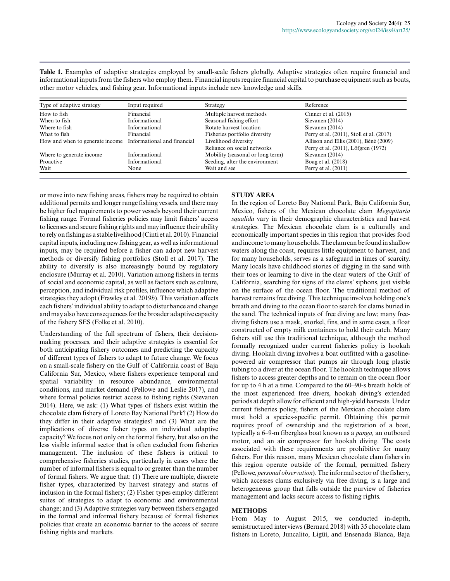**Table 1.** Examples of adaptive strategies employed by small-scale fishers globally. Adaptive strategies often require financial and informational inputs from the fishers who employ them. Financial inputs require financial capital to purchase equipment such as boats, other motor vehicles, and fishing gear. Informational inputs include new knowledge and skills.

| Type of adaptive strategy                                   | Input required | Strategy                         | Reference                                |  |
|-------------------------------------------------------------|----------------|----------------------------------|------------------------------------------|--|
| How to fish                                                 | Financial      | Multiple harvest methods         | Cinner et al. $(2015)$                   |  |
| When to fish                                                | Informational  | Seasonal fishing effort          | Sievanen (2014)                          |  |
| Where to fish                                               | Informational  | Rotate harvest location          | Sievanen (2014)                          |  |
| What to fish                                                | Financial      | Fisheries portfolio diversity    | Perry et al. (2011), Stoll et al. (2017) |  |
| How and when to generate income Informational and financial |                | Livelihood diversity             | Allison and Ellis (2001), Béné (2009)    |  |
|                                                             |                | Reliance on social networks      | Perry et al. (2011), Löfgren (1972)      |  |
| Where to generate income.                                   | Informational  | Mobility (seasonal or long term) | Sievanen (2014)                          |  |
| Proactive                                                   | Informational  | Seeding, alter the environment   | Boag et al. $(2018)$                     |  |
| Wait                                                        | None           | Wait and see                     | Perry et al. (2011)                      |  |

or move into new fishing areas, fishers may be required to obtain additional permits and longer range fishing vessels, and there may be higher fuel requirements to power vessels beyond their current fishing range. Formal fisheries policies may limit fishers' access to licenses and secure fishing rights and may influence their ability to rely on fishing as a stable livelihood (Cinti et al. 2010). Financial capital inputs, including new fishing gear, as well as informational inputs, may be required before a fisher can adopt new harvest methods or diversify fishing portfolios (Stoll et al. 2017). The ability to diversify is also increasingly bound by regulatory enclosure (Murray et al. 2010). Variation among fishers in terms of social and economic capital, as well as factors such as culture, perception, and individual risk profiles, influence which adaptive strategies they adopt (Frawley et al. 2019*b*). This variation affects each fishers' individual ability to adapt to disturbance and change and may also have consequences for the broader adaptive capacity of the fishery SES (Folke et al. 2010).

Understanding of the full spectrum of fishers, their decisionmaking processes, and their adaptive strategies is essential for both anticipating fishery outcomes and predicting the capacity of different types of fishers to adapt to future change. We focus on a small-scale fishery on the Gulf of California coast of Baja California Sur, Mexico, where fishers experience temporal and spatial variability in resource abundance, environmental conditions, and market demand (Pellowe and Leslie 2017), and where formal policies restrict access to fishing rights (Sievanen 2014). Here, we ask: (1) What types of fishers exist within the chocolate clam fishery of Loreto Bay National Park? (2) How do they differ in their adaptive strategies? and (3) What are the implications of diverse fisher types on individual adaptive capacity? We focus not only on the formal fishery, but also on the less visible informal sector that is often excluded from fisheries management. The inclusion of these fishers is critical to comprehensive fisheries studies, particularly in cases where the number of informal fishers is equal to or greater than the number of formal fishers. We argue that: (1) There are multiple, discrete fisher types, characterized by harvest strategy and status of inclusion in the formal fishery; (2) Fisher types employ different suites of strategies to adapt to economic and environmental change; and (3) Adaptive strategies vary between fishers engaged in the formal and informal fishery because of formal fisheries policies that create an economic barrier to the access of secure fishing rights and markets.

# **STUDY AREA**

In the region of Loreto Bay National Park, Baja California Sur, Mexico, fishers of the Mexican chocolate clam *Megapitaria squalida* vary in their demographic characteristics and harvest strategies. The Mexican chocolate clam is a culturally and economically important species in this region that provides food and income to many households. The clam can be found in shallow waters along the coast, requires little equipment to harvest, and for many households, serves as a safeguard in times of scarcity. Many locals have childhood stories of digging in the sand with their toes or learning to dive in the clear waters of the Gulf of California, searching for signs of the clams' siphons, just visible on the surface of the ocean floor. The traditional method of harvest remains free diving. This technique involves holding one's breath and diving to the ocean floor to search for clams buried in the sand. The technical inputs of free diving are low; many freediving fishers use a mask, snorkel, fins, and in some cases, a float constructed of empty milk containers to hold their catch. Many fishers still use this traditional technique, although the method formally recognized under current fisheries policy is hookah diving. Hookah diving involves a boat outfitted with a gasolinepowered air compressor that pumps air through long plastic tubing to a diver at the ocean floor. The hookah technique allows fishers to access greater depths and to remain on the ocean floor for up to 4 h at a time. Compared to the 60–90-s breath holds of the most experienced free divers, hookah diving's extended periods at depth allow for efficient and high-yield harvests. Under current fisheries policy, fishers of the Mexican chocolate clam must hold a species-specific permit. Obtaining this permit requires proof of ownership and the registration of a boat, typically a 6–9-m fiberglass boat known as a *panga,* an outboard motor, and an air compressor for hookah diving. The costs associated with these requirements are prohibitive for many fishers. For this reason, many Mexican chocolate clam fishers in this region operate outside of the formal, permitted fishery (Pellowe, *personal observation*). The informal sector of the fishery, which accesses clams exclusively via free diving, is a large and heterogeneous group that falls outside the purview of fisheries management and lacks secure access to fishing rights.

## **METHODS**

From May to August 2015, we conducted in-depth, semistructured interviews (Bernard 2018) with 35 chocolate clam fishers in Loreto, Juncalito, Ligüí, and Ensenada Blanca, Baja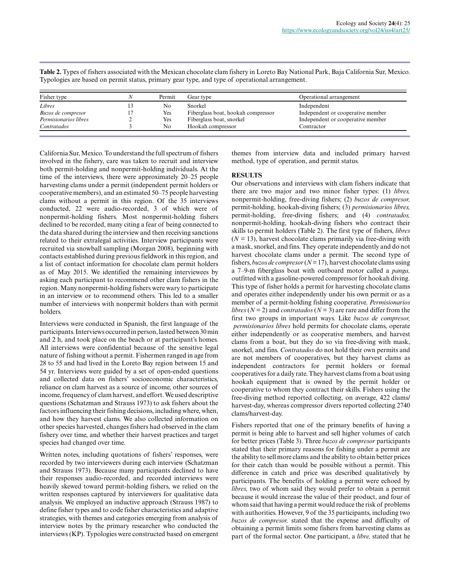| Fisher type           | Permit | Gear type                          | Operational arrangement           |
|-----------------------|--------|------------------------------------|-----------------------------------|
| Libres                | Nο     | Snorkel                            | Independent                       |
| Buzos de compresor    | Yes    | Fiberglass boat, hookah compressor | Independent or cooperative member |
| Permisionarios libres | Yes    | Fiberglass boat, snorkel           | Independent or cooperative member |
| Contratados           | No     | Hookah compressor                  | Contractor                        |

**Table 2.** Types of fishers associated with the Mexican chocolate clam fishery in Loreto Bay National Park, Baja California Sur, Mexico. Typologies are based on permit status, primary gear type, and type of operational arrangement.

California Sur, Mexico. To understand the full spectrum of fishers involved in the fishery, care was taken to recruit and interview both permit-holding and nonpermit-holding individuals. At the time of the interviews, there were approximately 20–25 people harvesting clams under a permit (independent permit holders or cooperative members), and an estimated 50–75 people harvesting clams without a permit in this region. Of the 35 interviews conducted, 22 were audio-recorded, 3 of which were of nonpermit-holding fishers. Most nonpermit-holding fishers declined to be recorded, many citing a fear of being connected to the data shared during the interview and then receiving sanctions related to their extralegal activities. Interview participants were recruited via snowball sampling (Morgan 2008), beginning with contacts established during previous fieldwork in this region, and a list of contact information for chocolate clam permit holders as of May 2015. We identified the remaining interviewees by asking each participant to recommend other clam fishers in the region. Many nonpermit-holding fishers were wary to participate in an interview or to recommend others. This led to a smaller number of interviews with nonpermit holders than with permit holders.

Interviews were conducted in Spanish, the first language of the participants. Interviews occurred in person, lasted between 30 min and 2 h, and took place on the beach or at participant's homes. All interviews were confidential because of the sensitive legal nature of fishing without a permit. Fishermen ranged in age from 28 to 55 and had lived in the Loreto Bay region between 15 and 54 yr. Interviews were guided by a set of open-ended questions and collected data on fishers' socioeconomic characteristics, reliance on clam harvest as a source of income, other sources of income, frequency of clam harvest, and effort. We used descriptive questions (Schatzman and Strauss 1973) to ask fishers about the factors influencing their fishing decisions, including where, when, and how they harvest clams. We also collected information on other species harvested, changes fishers had observed in the clam fishery over time, and whether their harvest practices and target species had changed over time.

Written notes, including quotations of fishers' responses, were recorded by two interviewers during each interview (Schatzman and Strauss 1973). Because many participants declined to have their responses audio-recorded, and recorded interviews were heavily skewed toward permit-holding fishers, we relied on the written responses captured by interviewers for qualitative data analysis. We employed an inductive approach (Strauss 1987) to define fisher types and to code fisher characteristics and adaptive strategies, with themes and categories emerging from analysis of interview notes by the primary researcher who conducted the interviews (KP). Typologies were constructed based on emergent

themes from interview data and included primary harvest method, type of operation, and permit status.

# **RESULTS**

Our observations and interviews with clam fishers indicate that there are two major and two minor fisher types: (1) *libres,* nonpermit-holding, free-diving fishers; (2) *buzos de compresor,* permit-holding, hookah-diving fishers; (3) *permisionarios libres,* permit-holding, free-diving fishers; and (4) *contratados,* nonpermit-holding, hookah-diving fishers who contract their skills to permit holders (Table 2). The first type of fishers, *libres*  $(N = 13)$ , harvest chocolate clams primarily via free-diving with a mask, snorkel, and fins. They operate independently and do not harvest chocolate clams under a permit. The second type of fishers, *buzos de compresor* (*N* = 17), harvest chocolate clams using a 7–9-m fiberglass boat with outboard motor called a *panga,* outfitted with a gasoline-powered compressor for hookah diving. This type of fisher holds a permit for harvesting chocolate clams and operates either independently under his own permit or as a member of a permit-holding fishing cooperative. *Permisionarios libres* ( $N = 2$ ) and *contratados* ( $N = 3$ ) are rare and differ from the first two groups in important ways. Like *buzos de compresor, permisionarios libres* hold permits for chocolate clams, operate either independently or as cooperative members, and harvest clams from a boat, but they do so via free-diving with mask, snorkel, and fins. *Contratados* do not hold their own permits and are not members of cooperatives, but they harvest clams as independent contractors for permit holders or formal cooperatives for a daily rate. They harvest clams from a boat using hookah equipment that is owned by the permit holder or cooperative to whom they contract their skills. Fishers using the free-diving method reported collecting, on average, 422 clams/ harvest-day, whereas compressor divers reported collecting 2740 clams/harvest-day.

Fishers reported that one of the primary benefits of having a permit is being able to harvest and sell higher volumes of catch for better prices (Table 3). Three *buzos de compresor* participants stated that their primary reasons for fishing under a permit are the ability to sell more clams and the ability to obtain better prices for their catch than would be possible without a permit. This difference in catch and price was described qualitatively by participants. The benefits of holding a permit were echoed by *libres,* two of whom said they would prefer to obtain a permit because it would increase the value of their product, and four of whom said that having a permit would reduce the risk of problems with authorities. However, 9 of the 35 participants, including two *buzos de compresor,* stated that the expense and difficulty of obtaining a permit limits some fishers from harvesting clams as part of the formal sector. One participant, a *libre,* stated that he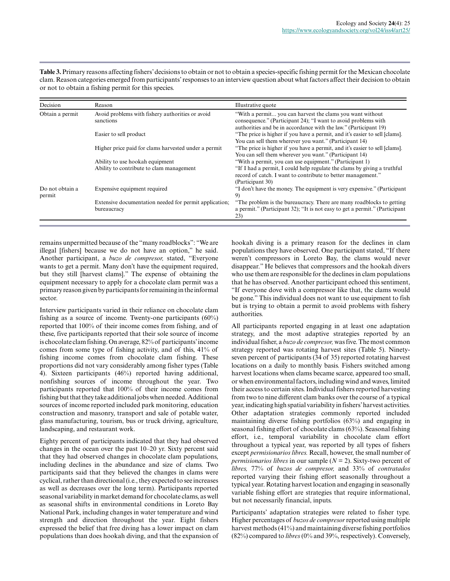**Table 3.** Primary reasons affecting fishers' decisions to obtain or not to obtain a species-specific fishing permit for the Mexican chocolate clam. Reason categories emerged from participants' responses to an interview question about what factors affect their decision to obtain or not to obtain a fishing permit for this species.

| Decision                  | Reason                                                                | Illustrative quote                                                                                                                                          |  |  |  |
|---------------------------|-----------------------------------------------------------------------|-------------------------------------------------------------------------------------------------------------------------------------------------------------|--|--|--|
| Obtain a permit           | Avoid problems with fishery authorities or avoid<br>sanctions         | "With a permit you can harvest the clams you want without<br>consequence." (Participant 24); "I want to avoid problems with                                 |  |  |  |
|                           |                                                                       | authorities and be in accordance with the law." (Participant 19)                                                                                            |  |  |  |
|                           | Easier to sell product                                                | "The price is higher if you have a permit, and it's easier to sell [clams].                                                                                 |  |  |  |
|                           |                                                                       | You can sell them wherever you want." (Participant 14)                                                                                                      |  |  |  |
|                           | Higher price paid for clams harvested under a permit                  | "The price is higher if you have a permit, and it's easier to sell [clams].                                                                                 |  |  |  |
|                           |                                                                       | You can sell them wherever you want." (Participant 14)                                                                                                      |  |  |  |
|                           | Ability to use hookah equipment                                       | "With a permit, you can use equipment." (Participant 1)                                                                                                     |  |  |  |
|                           | Ability to contribute to clam management                              | "If I had a permit, I could help regulate the clams by giving a truthful<br>record of catch. I want to contribute to better management."                    |  |  |  |
|                           |                                                                       | (Participant 30)                                                                                                                                            |  |  |  |
| Do not obtain a<br>permit | Expensive equipment required                                          | "I don't have the money. The equipment is very expensive." (Participant<br>9)                                                                               |  |  |  |
|                           | Extensive documentation needed for permit application;<br>bureaucracy | "The problem is the bureaucracy. There are many roadblocks to getting<br>a permit." (Participant 32); "It is not easy to get a permit." (Participant<br>23) |  |  |  |

remains unpermitted because of the "many roadblocks": "We are illegal [fishers] because we do not have an option," he said. Another participant, a *buzo de compresor,* stated, "Everyone wants to get a permit. Many don't have the equipment required, but they still [harvest clams]." The expense of obtaining the equipment necessary to apply for a chocolate clam permit was a primary reason given by participants for remaining in the informal sector.

Interview participants varied in their reliance on chocolate clam fishing as a source of income. Twenty-one participants  $(60\%)$ reported that 100% of their income comes from fishing, and of these, five participants reported that their sole source of income is chocolate clam fishing. On average, 82% of participants' income comes from some type of fishing activity, and of this, 41% of fishing income comes from chocolate clam fishing. These proportions did not vary considerably among fisher types (Table 4). Sixteen participants (46%) reported having additional, nonfishing sources of income throughout the year. Two participants reported that 100% of their income comes from fishing but that they take additional jobs when needed. Additional sources of income reported included park monitoring, education construction and masonry, transport and sale of potable water, glass manufacturing, tourism, bus or truck driving, agriculture, landscaping, and restaurant work.

Eighty percent of participants indicated that they had observed changes in the ocean over the past 10–20 yr. Sixty percent said that they had observed changes in chocolate clam populations, including declines in the abundance and size of clams. Two participants said that they believed the changes in clams were cyclical, rather than directional (i.e., they expected to see increases as well as decreases over the long term). Participants reported seasonal variability in market demand for chocolate clams, as well as seasonal shifts in environmental conditions in Loreto Bay National Park, including changes in water temperature and wind strength and direction throughout the year. Eight fishers expressed the belief that free diving has a lower impact on clam populations than does hookah diving, and that the expansion of hookah diving is a primary reason for the declines in clam populations they have observed. One participant stated, "If there weren't compressors in Loreto Bay, the clams would never disappear." He believes that compressors and the hookah divers who use them are responsible for the declines in clam populations that he has observed. Another participant echoed this sentiment, "If everyone dove with a compressor like that, the clams would be gone." This individual does not want to use equipment to fish but is trying to obtain a permit to avoid problems with fishery authorities.

All participants reported engaging in at least one adaptation strategy, and the most adaptive strategies reported by an individual fisher, a *buzo de compresor,* was five. The most common strategy reported was rotating harvest sites (Table 5). Ninetyseven percent of participants (34 of 35) reported rotating harvest locations on a daily to monthly basis. Fishers switched among harvest locations when clams became scarce, appeared too small, or when environmental factors, including wind and waves, limited their access to certain sites. Individual fishers reported harvesting from two to nine different clam banks over the course of a typical year, indicating high spatial variability in fishers' harvest activities. Other adaptation strategies commonly reported included maintaining diverse fishing portfolios (63%) and engaging in seasonal fishing effort of chocolate clams (63%). Seasonal fishing effort, i.e., temporal variability in chocolate clam effort throughout a typical year, was reported by all types of fishers except *permisionarios libres.* Recall, however, the small number of *permisionarios libres* in our sample (*N* = 2). Sixty-two percent of *libres,* 77% of *buzos de compresor,* and 33% of *contratados* reported varying their fishing effort seasonally throughout a typical year. Rotating harvest location and engaging in seasonally variable fishing effort are strategies that require informational, but not necessarily financial, inputs.

Participants' adaptation strategies were related to fisher type. Higher percentages of *buzos de compresor* reported using multiple harvest methods (41%) and maintaining diverse fishing portfolios (82%) compared to *libres* (0% and 39%, respectively). Conversely,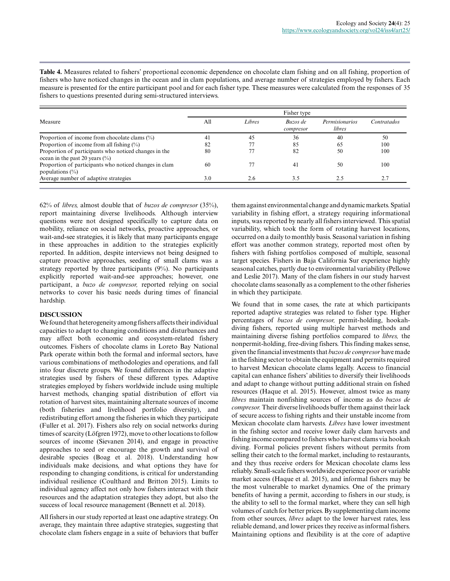|                                                                                             | Fisher type |        |                       |                          |             |  |
|---------------------------------------------------------------------------------------------|-------------|--------|-----------------------|--------------------------|-------------|--|
| Measure                                                                                     | All         | Libres | Buzos de<br>compresor | Permisionarios<br>libres | Contratados |  |
| Proportion of income from chocolate clams $(\%)$                                            | 41          | 45     | 36                    | 40                       | 50          |  |
| Proportion of income from all fishing $(\%)$                                                | 82          |        | 85                    | 65                       | 100         |  |
| Proportion of participants who noticed changes in the<br>ocean in the past 20 years $(\% )$ | 80          |        | 82                    | 50                       | 100         |  |
| Proportion of participants who noticed changes in clam<br>populations $(\%)$                | 60          |        | 41                    | 50                       | 100         |  |
| Average number of adaptive strategies                                                       | 3.0         | 2.6    | 3.5                   | 2.5                      | 2.7         |  |

**Table 4.** Measures related to fishers' proportional economic dependence on chocolate clam fishing and on all fishing, proportion of fishers who have noticed changes in the ocean and in clam populations, and average number of strategies employed by fishers. Each measure is presented for the entire participant pool and for each fisher type. These measures were calculated from the responses of 35 fishers to questions presented during semi-structured interviews.

62% of *libres,* almost double that of *buzos de compresor* (35%), report maintaining diverse livelihoods. Although interview questions were not designed specifically to capture data on mobility, reliance on social networks, proactive approaches, or wait-and-see strategies, it is likely that many participants engage in these approaches in addition to the strategies explicitly reported. In addition, despite interviews not being designed to capture proactive approaches, seeding of small clams was a strategy reported by three participants (9%). No participants explicitly reported wait-and-see approaches; however, one participant, a *buzo de compresor,* reported relying on social networks to cover his basic needs during times of financial hardship.

## **DISCUSSION**

We found that heterogeneity among fishers affects their individual capacities to adapt to changing conditions and disturbances and may affect both economic and ecosystem-related fishery outcomes. Fishers of chocolate clams in Loreto Bay National Park operate within both the formal and informal sectors, have various combinations of methodologies and operations, and fall into four discrete groups. We found differences in the adaptive strategies used by fishers of these different types. Adaptive strategies employed by fishers worldwide include using multiple harvest methods, changing spatial distribution of effort via rotation of harvest sites, maintaining alternate sources of income (both fisheries and livelihood portfolio diversity), and redistributing effort among the fisheries in which they participate (Fuller et al. 2017). Fishers also rely on social networks during times of scarcity (Löfgren 1972), move to other locations to follow sources of income (Sievanen 2014), and engage in proactive approaches to seed or encourage the growth and survival of desirable species (Boag et al. 2018). Understanding how individuals make decisions, and what options they have for responding to changing conditions, is critical for understanding individual resilience (Coulthard and Britton 2015). Limits to individual agency affect not only how fishers interact with their resources and the adaptation strategies they adopt, but also the success of local resource management (Bennett et al. 2018).

All fishers in our study reported at least one adaptive strategy. On average, they maintain three adaptive strategies, suggesting that chocolate clam fishers engage in a suite of behaviors that buffer them against environmental change and dynamic markets. Spatial variability in fishing effort, a strategy requiring informational inputs, was reported by nearly all fishers interviewed. This spatial variability, which took the form of rotating harvest locations, occurred on a daily to monthly basis. Seasonal variation in fishing effort was another common strategy, reported most often by fishers with fishing portfolios composed of multiple, seasonal target species. Fishers in Baja California Sur experience highly seasonal catches, partly due to environmental variability (Pellowe and Leslie 2017). Many of the clam fishers in our study harvest chocolate clams seasonally as a complement to the other fisheries in which they participate.

We found that in some cases, the rate at which participants reported adaptive strategies was related to fisher type. Higher percentages of *buzos de compresor,* permit-holding, hookahdiving fishers, reported using multiple harvest methods and maintaining diverse fishing portfolios compared to *libres,* the nonpermit-holding, free-diving fishers. This finding makes sense, given the financial investments that *buzos de compresor* have made in the fishing sector to obtain the equipment and permits required to harvest Mexican chocolate clams legally. Access to financial capital can enhance fishers' abilities to diversify their livelihoods and adapt to change without putting additional strain on fished resources (Haque et al. 2015). However, almost twice as many *libres* maintain nonfishing sources of income as do *buzos de compresor.* Their diverse livelihoods buffer them against their lack of secure access to fishing rights and their unstable income from Mexican chocolate clam harvests. *Libres* have lower investment in the fishing sector and receive lower daily clam harvests and fishing income compared to fishers who harvest clams via hookah diving. Formal policies prevent fishers without permits from selling their catch to the formal market, including to restaurants, and they thus receive orders for Mexican chocolate clams less reliably. Small-scale fishers worldwide experience poor or variable market access (Haque et al. 2015), and informal fishers may be the most vulnerable to market dynamics. One of the primary benefits of having a permit, according to fishers in our study, is the ability to sell to the formal market, where they can sell high volumes of catch for better prices. By supplementing clam income from other sources, *libres* adapt to the lower harvest rates, less reliable demand, and lower prices they receive as informal fishers. Maintaining options and flexibility is at the core of adaptive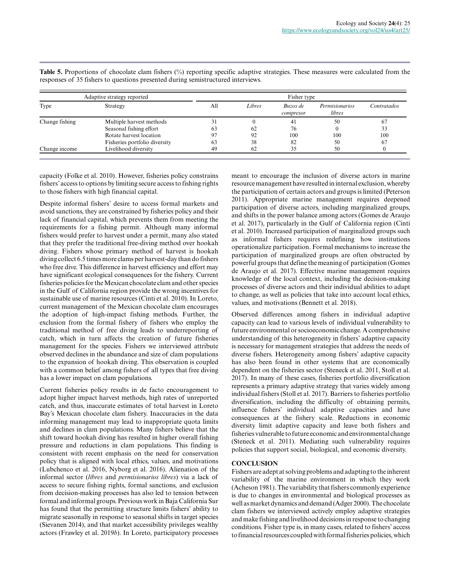| Adaptive strategy reported |                               | Fisher type |        |                       |                                 |             |  |
|----------------------------|-------------------------------|-------------|--------|-----------------------|---------------------------------|-------------|--|
| Type                       | Strategy                      | All         | Libres | Buzos de<br>compresor | <b>Permisionarios</b><br>libres | Contratados |  |
| Change fishing             | Multiple harvest methods      |             |        | 41                    | 50                              | 67          |  |
|                            | Seasonal fishing effort       | 63          | 62     | 76                    |                                 | 33          |  |
|                            | Rotate harvest location       | 97          | 92     | 100                   | 100                             | 100         |  |
|                            | Fisheries portfolio diversity | 63          | 38     | 82                    | 50                              | 67          |  |
| Change income              | Livelihood diversity          | 49          | 62     | 35                    | 50                              | $\theta$    |  |

**Table 5.** Proportions of chocolate clam fishers (%) reporting specific adaptive strategies. These measures were calculated from the responses of 35 fishers to questions presented during semistructured interviews.

capacity (Folke et al. 2010). However, fisheries policy constrains fishers' access to options by limiting secure access to fishing rights to those fishers with high financial capital.

Despite informal fishers' desire to access formal markets and avoid sanctions, they are constrained by fisheries policy and their lack of financial capital, which prevents them from meeting the requirements for a fishing permit. Although many informal fishers would prefer to harvest under a permit, many also stated that they prefer the traditional free-diving method over hookah diving. Fishers whose primary method of harvest is hookah diving collect 6.5 times more clams per harvest-day than do fishers who free dive. This difference in harvest efficiency and effort may have significant ecological consequences for the fishery. Current fisheries policies for the Mexican chocolate clam and other species in the Gulf of California region provide the wrong incentives for sustainable use of marine resources (Cinti et al. 2010). In Loreto, current management of the Mexican chocolate clam encourages the adoption of high-impact fishing methods. Further, the exclusion from the formal fishery of fishers who employ the traditional method of free diving leads to underreporting of catch, which in turn affects the creation of future fisheries management for the species. Fishers we interviewed attribute observed declines in the abundance and size of clam populations to the expansion of hookah diving. This observation is coupled with a common belief among fishers of all types that free diving has a lower impact on clam populations.

Current fisheries policy results in de facto encouragement to adopt higher impact harvest methods, high rates of unreported catch, and thus, inaccurate estimates of total harvest in Loreto Bay's Mexican chocolate clam fishery. Inaccuracies in the data informing management may lead to inappropriate quota limits and declines in clam populations. Many fishers believe that the shift toward hookah diving has resulted in higher overall fishing pressure and reductions in clam populations. This finding is consistent with recent emphasis on the need for conservation policy that is aligned with local ethics, values, and motivations (Lubchenco et al. 2016, Nyborg et al. 2016). Alienation of the informal sector (*libres* and *permisionarios libres*) via a lack of access to secure fishing rights, formal sanctions, and exclusion from decision-making processes has also led to tension between formal and informal groups. Previous work in Baja California Sur has found that the permitting structure limits fishers' ability to migrate seasonally in response to seasonal shifts in target species (Sievanen 2014), and that market accessibility privileges wealthy actors (Frawley et al. 2019*b*). In Loreto, participatory processes

meant to encourage the inclusion of diverse actors in marine resource management have resulted in internal exclusion, whereby the participation of certain actors and groups is limited (Peterson 2011). Appropriate marine management requires deepened participation of diverse actors, including marginalized groups, and shifts in the power balance among actors (Gomes de Araujo et al. 2017), particularly in the Gulf of California region (Cinti et al. 2010). Increased participation of marginalized groups such as informal fishers requires redefining how institutions operationalize participation. Formal mechanisms to increase the participation of marginalized groups are often obstructed by powerful groups that define the meaning of participation (Gomes de Araujo et al. 2017). Effective marine management requires knowledge of the local context, including the decision-making processes of diverse actors and their individual abilities to adapt to change, as well as policies that take into account local ethics, values, and motivations (Bennett et al. 2018).

Observed differences among fishers in individual adaptive capacity can lead to various levels of individual vulnerability to future environmental or socioeconomic change. A comprehensive understanding of this heterogeneity in fishers' adaptive capacity is necessary for management strategies that address the needs of diverse fishers. Heterogeneity among fishers' adaptive capacity has also been found in other systems that are economically dependent on the fisheries sector (Steneck et al. 2011, Stoll et al. 2017). In many of these cases, fisheries portfolio diversification represents a primary adaptive strategy that varies widely among individual fishers (Stoll et al. 2017). Barriers to fisheries portfolio diversification, including the difficulty of obtaining permits, influence fishers' individual adaptive capacities and have consequences at the fishery scale. Reductions in economic diversity limit adaptive capacity and leave both fishers and fisheries vulnerable to future economic and environmental change (Steneck et al. 2011). Mediating such vulnerability requires policies that support social, biological, and economic diversity.

## **CONCLUSION**

Fishers are adept at solving problems and adapting to the inherent variability of the marine environment in which they work (Acheson 1981). The variability that fishers commonly experience is due to changes in environmental and biological processes as well as market dynamics and demand (Adger 2000). The chocolate clam fishers we interviewed actively employ adaptive strategies and make fishing and livelihood decisions in response to changing conditions. Fisher type is, in many cases, related to fishers' access to financial resources coupled with formal fisheries policies, which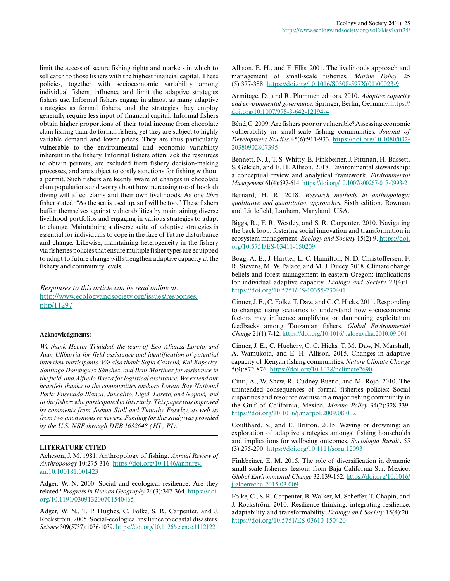limit the access of secure fishing rights and markets in which to sell catch to those fishers with the highest financial capital. These policies, together with socioeconomic variability among individual fishers, influence and limit the adaptive strategies fishers use. Informal fishers engage in almost as many adaptive strategies as formal fishers, and the strategies they employ generally require less input of financial capital. Informal fishers obtain higher proportions of their total income from chocolate clam fishing than do formal fishers, yet they are subject to highly variable demand and lower prices. They are thus particularly vulnerable to the environmental and economic variability inherent in the fishery. Informal fishers often lack the resources to obtain permits, are excluded from fishery decision-making processes, and are subject to costly sanctions for fishing without a permit. Such fishers are keenly aware of changes in chocolate clam populations and worry about how increasing use of hookah diving will affect clams and their own livelihoods. As one *libre* fisher stated, "As the sea is used up, so I will be too." These fishers buffer themselves against vulnerabilities by maintaining diverse livelihood portfolios and engaging in various strategies to adapt to change. Maintaining a diverse suite of adaptive strategies is essential for individuals to cope in the face of future disturbance and change. Likewise, maintaining heterogeneity in the fishery via fisheries policies that ensure multiple fisher types are equipped to adapt to future change will strengthen adaptive capacity at the fishery and community levels.

*Responses to this article can be read online at:* [http://www.ecologyandsociety.org/issues/responses.](http://www.ecologyandsociety.org/issues/responses.php/11297) [php/11297](http://www.ecologyandsociety.org/issues/responses.php/11297)

#### **Acknowledgments:**

*We thank Hector Trinidad, the team of Eco-Alianza Loreto, and Juan Ulibarria for field assistance and identification of potential interview participants. We also thank Sofia Castelló, Kai Kopecky, Santiago Domínguez Sánchez, and Beni Martinez for assistance in the field, and Alfredo Baeza for logistical assistance. We extend our heartfelt thanks to the communities onshore Loreto Bay National Park: Ensenada Blanca, Juncalito, Liguï, Loreto, and Nopoló, and to the fishers who participated in this study. This paper was improved by comments from Joshua Stoll and Timothy Frawley, as well as from two anonymous reviewers. Funding for this study was provided by the U.S. NSF through DEB 1632648 (HL, PI).*

#### **LITERATURE CITED**

Acheson, J. M. 1981. Anthropology of fishing. *Annual Review of Anthropology* 10:275-316. [https://doi.org/10.1146/annurev.](https://doi.org/10.1146/annurev.an.10.100181.001423) [an.10.100181.001423](https://doi.org/10.1146/annurev.an.10.100181.001423) 

Adger, W. N. 2000. Social and ecological resilience: Are they related? *Progress in Human Geography* 24(3):347-364. [https://doi.](https://doi.org/10.1191/030913200701540465) [org/10.1191/030913200701540465](https://doi.org/10.1191/030913200701540465)

Adger, W. N., T. P. Hughes, C. Folke, S. R. Carpenter, and J. Rockström. 2005. Social-ecological resilience to coastal disasters. *Science* 309(5737):1036-1039. <https://doi.org/10.1126/science.1112122>

Allison, E. H., and F. Ellis. 2001. The livelihoods approach and management of small-scale fisheries. *Marine Policy* 25 (5):377-388. [https://doi.org/10.1016/S0308-597X\(01\)00023-9](https://doi.org/10.1016/S0308-597X(01)00023-9) 

Armitage, D., and R. Plummer, editors. 2010. *Adaptive capacity and environmental governance.* Springer, Berlin, Germany. [https://](https://doi.org/10.1007/978-3-642-12194-4) [doi.org/10.1007/978-3-642-12194-4](https://doi.org/10.1007/978-3-642-12194-4)

Béné, C. 2009. Are fishers poor or vulnerable? Assessing economic vulnerability in small-scale fishing communities. *Journal of Development Studies* 45(6):911-933. [https://doi.org/10.1080/002](https://doi.org/10.1080/00220380902807395) [20380902807395](https://doi.org/10.1080/00220380902807395)

Bennett, N. J., T. S. Whitty, E. Finkbeiner, J. Pittman, H. Bassett, S. Gelcich, and E. H. Allison. 2018. Environmental stewardship: a conceptual review and analytical framework. *Environmental Management* 61(4):597-614.<https://doi.org/10.1007/s00267-017-0993-2>

Bernard, H. R. 2018. *Research methods in anthropology: qualitative and quantitative approaches.* Sixth edition. Rowman and Littlefield, Lanham, Maryland, USA.

Biggs, R., F. R. Westley, and S. R. Carpenter. 2010. Navigating the back loop: fostering social innovation and transformation in ecosystem management. *Ecology and Society* 15(2):9. [https://doi.](https://doi.org/10.5751/ES-03411-150209) [org/10.5751/ES-03411-150209](https://doi.org/10.5751/ES-03411-150209) 

Boag, A. E., J. Hartter, L. C. Hamilton, N. D. Christoffersen, F. R. Stevens, M. W. Palace, and M. J. Ducey. 2018. Climate change beliefs and forest management in eastern Oregon: implications for individual adaptive capacity. *Ecology and Society* 23(4):1. <https://doi.org/10.5751/ES-10355-230401>

Cinner, J. E., C. Folke, T. Daw, and C. C. Hicks. 2011. Responding to change: using scenarios to understand how socioeconomic factors may influence amplifying or dampening exploitation feedbacks among Tanzanian fishers. *Global Environmental Change* 21(1):7-12.<https://doi.org/10.1016/j.gloenvcha.2010.09.001>

Cinner, J. E., C. Huchery, C. C. Hicks, T. M. Daw, N. Marshall, A. Wamukota, and E. H. Allison. 2015. Changes in adaptive capacity of Kenyan fishing communities. *Nature Climate Change* 5(9):872-876.<https://doi.org/10.1038/nclimate2690>

Cinti, A., W. Shaw, R. Cudney-Bueno, and M. Rojo. 2010. The unintended consequences of formal fisheries policies: Social disparities and resource overuse in a major fishing community in the Gulf of California, Mexico. *Marine Policy* 34(2):328-339. <https://doi.org/10.1016/j.marpol.2009.08.002>

Coulthard, S., and E. Britton. 2015. Waving or drowning: an exploration of adaptive strategies amongst fishing households and implications for wellbeing outcomes. *Sociologia Ruralis* 55 (3):275-290. <https://doi.org/10.1111/soru.12093>

Finkbeiner, E. M. 2015. The role of diversification in dynamic small-scale fisheries: lessons from Baja California Sur, Mexico. *Global Environmental Change* 32:139-152. [https://doi.org/10.1016/](https://doi.org/10.1016/j.gloenvcha.2015.03.009) [j.gloenvcha.2015.03.009](https://doi.org/10.1016/j.gloenvcha.2015.03.009) 

Folke, C., S. R. Carpenter, B. Walker, M. Scheffer, T. Chapin, and J. Rockström. 2010. Resilience thinking: integrating resilience, adaptability and transformability. *Ecology and Society* 15(4):20. <https://doi.org/10.5751/ES-03610-150420>